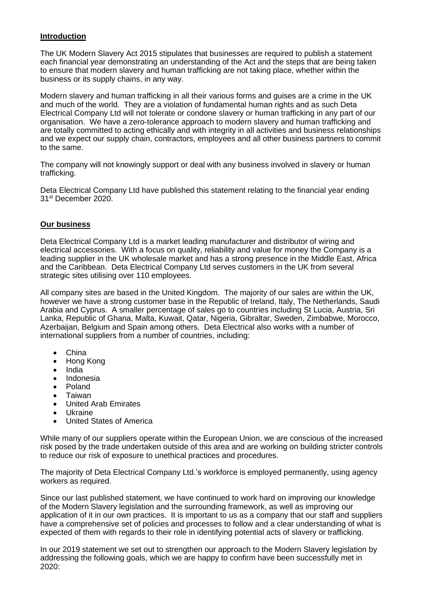# **Introduction**

The UK Modern Slavery Act 2015 stipulates that businesses are required to publish a statement each financial year demonstrating an understanding of the Act and the steps that are being taken to ensure that modern slavery and human trafficking are not taking place, whether within the business or its supply chains, in any way.

Modern slavery and human trafficking in all their various forms and guises are a crime in the UK and much of the world. They are a violation of fundamental human rights and as such Deta Electrical Company Ltd will not tolerate or condone slavery or human trafficking in any part of our organisation. We have a zero-tolerance approach to modern slavery and human trafficking and are totally committed to acting ethically and with integrity in all activities and business relationships and we expect our supply chain, contractors, employees and all other business partners to commit to the same.

The company will not knowingly support or deal with any business involved in slavery or human trafficking.

Deta Electrical Company Ltd have published this statement relating to the financial year ending 31st December 2020.

## **Our business**

Deta Electrical Company Ltd is a market leading manufacturer and distributor of wiring and electrical accessories. With a focus on quality, reliability and value for money the Company is a leading supplier in the UK wholesale market and has a strong presence in the Middle East, Africa and the Caribbean. Deta Electrical Company Ltd serves customers in the UK from several strategic sites utilising over 110 employees.

All company sites are based in the United Kingdom. The majority of our sales are within the UK, however we have a strong customer base in the Republic of Ireland, Italy, The Netherlands, Saudi Arabia and Cyprus. A smaller percentage of sales go to countries including St Lucia, Austria, Sri Lanka, Republic of Ghana, Malta, Kuwait, Qatar, Nigeria, Gibraltar, Sweden, Zimbabwe, Morocco, Azerbaijan, Belgium and Spain among others. Deta Electrical also works with a number of international suppliers from a number of countries, including:

- China
- Hong Kong
- India
- Indonesia
- Poland
- Taiwan
- United Arab Emirates
- Ukraine
- United States of America

While many of our suppliers operate within the European Union, we are conscious of the increased risk posed by the trade undertaken outside of this area and are working on building stricter controls to reduce our risk of exposure to unethical practices and procedures.

The majority of Deta Electrical Company Ltd.'s workforce is employed permanently, using agency workers as required.

Since our last published statement, we have continued to work hard on improving our knowledge of the Modern Slavery legislation and the surrounding framework, as well as improving our application of it in our own practices. It is important to us as a company that our staff and suppliers have a comprehensive set of policies and processes to follow and a clear understanding of what is expected of them with regards to their role in identifying potential acts of slavery or trafficking.

In our 2019 statement we set out to strengthen our approach to the Modern Slavery legislation by addressing the following goals, which we are happy to confirm have been successfully met in 2020: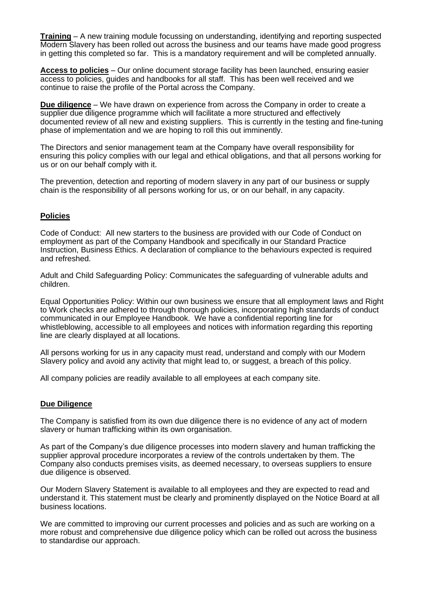**Training** – A new training module focussing on understanding, identifying and reporting suspected Modern Slavery has been rolled out across the business and our teams have made good progress in getting this completed so far. This is a mandatory requirement and will be completed annually.

**Access to policies** – Our online document storage facility has been launched, ensuring easier access to policies, guides and handbooks for all staff. This has been well received and we continue to raise the profile of the Portal across the Company.

**Due diligence** – We have drawn on experience from across the Company in order to create a supplier due diligence programme which will facilitate a more structured and effectively documented review of all new and existing suppliers. This is currently in the testing and fine-tuning phase of implementation and we are hoping to roll this out imminently.

The Directors and senior management team at the Company have overall responsibility for ensuring this policy complies with our legal and ethical obligations, and that all persons working for us or on our behalf comply with it.

The prevention, detection and reporting of modern slavery in any part of our business or supply chain is the responsibility of all persons working for us, or on our behalf, in any capacity.

### **Policies**

Code of Conduct: All new starters to the business are provided with our Code of Conduct on employment as part of the Company Handbook and specifically in our Standard Practice Instruction, Business Ethics. A declaration of compliance to the behaviours expected is required and refreshed.

Adult and Child Safeguarding Policy: Communicates the safeguarding of vulnerable adults and children.

Equal Opportunities Policy: Within our own business we ensure that all employment laws and Right to Work checks are adhered to through thorough policies, incorporating high standards of conduct communicated in our Employee Handbook. We have a confidential reporting line for whistleblowing, accessible to all employees and notices with information regarding this reporting line are clearly displayed at all locations.

All persons working for us in any capacity must read, understand and comply with our Modern Slavery policy and avoid any activity that might lead to, or suggest, a breach of this policy.

All company policies are readily available to all employees at each company site.

#### **Due Diligence**

The Company is satisfied from its own due diligence there is no evidence of any act of modern slavery or human trafficking within its own organisation.

As part of the Company's due diligence processes into modern slavery and human trafficking the supplier approval procedure incorporates a review of the controls undertaken by them. The Company also conducts premises visits, as deemed necessary, to overseas suppliers to ensure due diligence is observed.

Our Modern Slavery Statement is available to all employees and they are expected to read and understand it. This statement must be clearly and prominently displayed on the Notice Board at all business locations.

We are committed to improving our current processes and policies and as such are working on a more robust and comprehensive due diligence policy which can be rolled out across the business to standardise our approach.